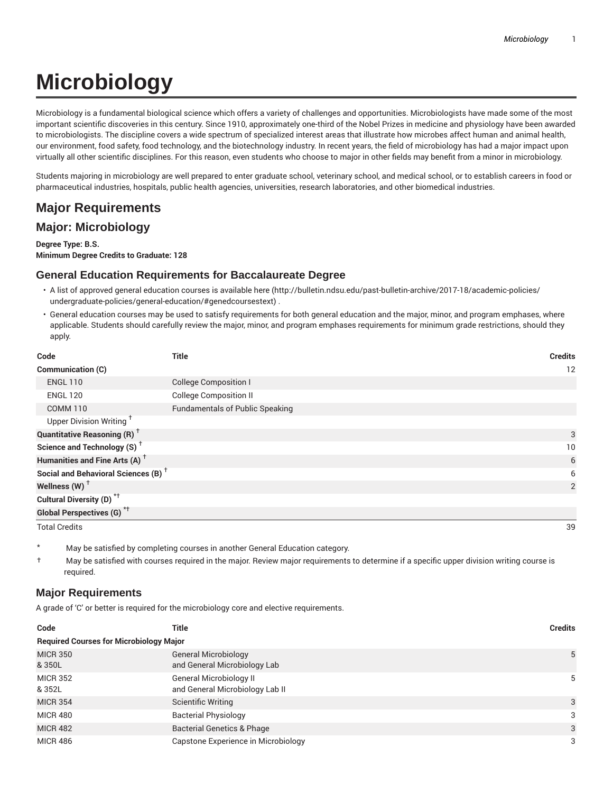# **Microbiology**

Microbiology is a fundamental biological science which offers a variety of challenges and opportunities. Microbiologists have made some of the most important scientific discoveries in this century. Since 1910, approximately one-third of the Nobel Prizes in medicine and physiology have been awarded to microbiologists. The discipline covers a wide spectrum of specialized interest areas that illustrate how microbes affect human and animal health, our environment, food safety, food technology, and the biotechnology industry. In recent years, the field of microbiology has had a major impact upon virtually all other scientific disciplines. For this reason, even students who choose to major in other fields may benefit from a minor in microbiology.

Students majoring in microbiology are well prepared to enter graduate school, veterinary school, and medical school, or to establish careers in food or pharmaceutical industries, hospitals, public health agencies, universities, research laboratories, and other biomedical industries.

# **Major Requirements**

## **Major: Microbiology**

**Degree Type: B.S. Minimum Degree Credits to Graduate: 128**

## **General Education Requirements for Baccalaureate Degree**

- A list of approved general education courses is available here (http://bulletin.ndsu.edu/past-bulletin-archive/2017-18/academic-policies/ undergraduate-policies/general-education/#genedcoursestext) .
- General education courses may be used to satisfy requirements for both general education and the major, minor, and program emphases, where applicable. Students should carefully review the major, minor, and program emphases requirements for minimum grade restrictions, should they apply.

| Code                                            | <b>Title</b>                           | <b>Credits</b> |
|-------------------------------------------------|----------------------------------------|----------------|
| Communication (C)                               |                                        | 12             |
| <b>ENGL 110</b>                                 | <b>College Composition I</b>           |                |
| <b>ENGL 120</b>                                 | <b>College Composition II</b>          |                |
| <b>COMM 110</b>                                 | <b>Fundamentals of Public Speaking</b> |                |
| Upper Division Writing <sup>†</sup>             |                                        |                |
| <b>Quantitative Reasoning (R)</b> <sup>†</sup>  |                                        | 3              |
| Science and Technology (S) <sup>+</sup>         |                                        | 10             |
| Humanities and Fine Arts (A) <sup>+</sup>       |                                        | 6              |
| Social and Behavioral Sciences (B) <sup>+</sup> |                                        | 6              |
| Wellness $(W)$ <sup>+</sup>                     |                                        | $\overline{2}$ |
| Cultural Diversity (D) <sup>*†</sup>            |                                        |                |
| <b>Global Perspectives (G)</b> <sup>*†</sup>    |                                        |                |
| <b>Total Credits</b>                            |                                        | 39             |

- May be satisfied by completing courses in another General Education category.
- † May be satisfied with courses required in the major. Review major requirements to determine if a specific upper division writing course is required.

#### **Major Requirements**

A grade of 'C' or better is required for the microbiology core and elective requirements.

| Code                                           | Title                                                       | <b>Credits</b> |
|------------------------------------------------|-------------------------------------------------------------|----------------|
| <b>Required Courses for Microbiology Major</b> |                                                             |                |
| <b>MICR 350</b><br>& 350L                      | <b>General Microbiology</b><br>and General Microbiology Lab | 5              |
| <b>MICR 352</b><br>& 352L                      | General Microbiology II<br>and General Microbiology Lab II  | 5              |
| <b>MICR 354</b>                                | <b>Scientific Writing</b>                                   | 3              |
| <b>MICR 480</b>                                | <b>Bacterial Physiology</b>                                 | 3              |
| <b>MICR 482</b>                                | <b>Bacterial Genetics &amp; Phage</b>                       | 3              |
| <b>MICR 486</b>                                | Capstone Experience in Microbiology                         | 3              |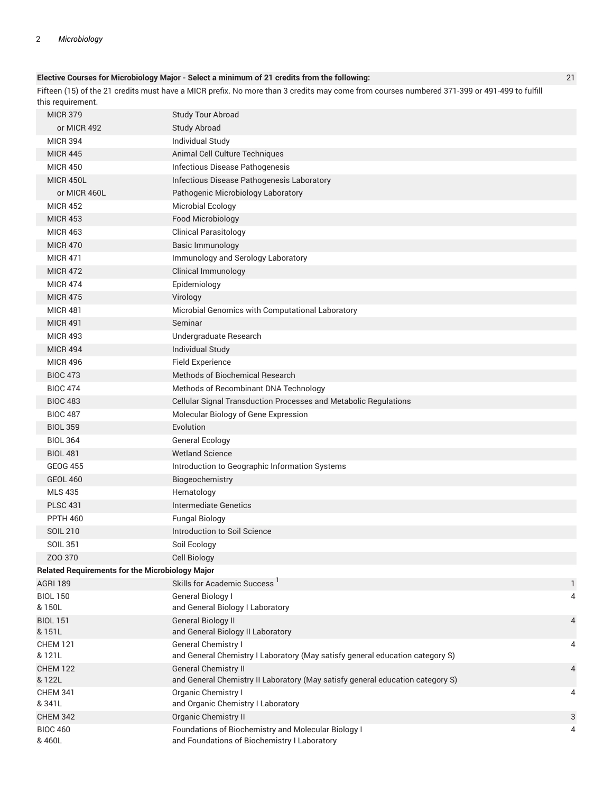#### **Elective Courses for Microbiology Major - Select a minimum of 21 credits from the following:** 21

Fifteen (15) of the 21 credits must have a MICR prefix. No more than 3 credits may come from courses numbered 371-399 or 491-499 to fulfill this requirement.

| <b>MICR 379</b>                                        | <b>Study Tour Abroad</b>                                                                                      |                |
|--------------------------------------------------------|---------------------------------------------------------------------------------------------------------------|----------------|
| or MICR 492                                            | <b>Study Abroad</b>                                                                                           |                |
| <b>MICR 394</b>                                        | Individual Study                                                                                              |                |
| <b>MICR 445</b>                                        | Animal Cell Culture Techniques                                                                                |                |
| <b>MICR 450</b>                                        | Infectious Disease Pathogenesis                                                                               |                |
| <b>MICR 450L</b>                                       | Infectious Disease Pathogenesis Laboratory                                                                    |                |
| or MICR 460L                                           | Pathogenic Microbiology Laboratory                                                                            |                |
| <b>MICR 452</b>                                        | <b>Microbial Ecology</b>                                                                                      |                |
| <b>MICR 453</b>                                        | Food Microbiology                                                                                             |                |
| <b>MICR 463</b>                                        | <b>Clinical Parasitology</b>                                                                                  |                |
| <b>MICR 470</b>                                        | Basic Immunology                                                                                              |                |
| <b>MICR 471</b>                                        | Immunology and Serology Laboratory                                                                            |                |
| <b>MICR 472</b>                                        | Clinical Immunology                                                                                           |                |
| <b>MICR 474</b>                                        | Epidemiology                                                                                                  |                |
| <b>MICR 475</b>                                        | Virology                                                                                                      |                |
| <b>MICR 481</b>                                        | Microbial Genomics with Computational Laboratory                                                              |                |
| <b>MICR 491</b>                                        | Seminar                                                                                                       |                |
| <b>MICR 493</b>                                        | Undergraduate Research                                                                                        |                |
| <b>MICR 494</b>                                        | <b>Individual Study</b>                                                                                       |                |
| <b>MICR 496</b>                                        | <b>Field Experience</b>                                                                                       |                |
| <b>BIOC 473</b>                                        | Methods of Biochemical Research                                                                               |                |
| <b>BIOC 474</b>                                        | Methods of Recombinant DNA Technology                                                                         |                |
| <b>BIOC 483</b>                                        | Cellular Signal Transduction Processes and Metabolic Regulations                                              |                |
| <b>BIOC 487</b>                                        | Molecular Biology of Gene Expression                                                                          |                |
| <b>BIOL 359</b>                                        | Evolution                                                                                                     |                |
| <b>BIOL 364</b>                                        | <b>General Ecology</b>                                                                                        |                |
| <b>BIOL 481</b>                                        | <b>Wetland Science</b>                                                                                        |                |
| <b>GEOG 455</b>                                        | Introduction to Geographic Information Systems                                                                |                |
| <b>GEOL 460</b>                                        | Biogeochemistry                                                                                               |                |
| <b>MLS 435</b>                                         | Hematology                                                                                                    |                |
| <b>PLSC 431</b>                                        | <b>Intermediate Genetics</b>                                                                                  |                |
| <b>PPTH 460</b>                                        | <b>Fungal Biology</b>                                                                                         |                |
| <b>SOIL 210</b>                                        | Introduction to Soil Science                                                                                  |                |
| <b>SOIL 351</b>                                        | Soil Ecology                                                                                                  |                |
| ZOO 370                                                | Cell Biology                                                                                                  |                |
| <b>Related Requirements for the Microbiology Major</b> |                                                                                                               |                |
| <b>AGRI 189</b>                                        | Skills for Academic Success <sup>1</sup>                                                                      | 1              |
| <b>BIOL 150</b>                                        | General Biology I                                                                                             | 4              |
| & 150L                                                 | and General Biology I Laboratory                                                                              |                |
| <b>BIOL 151</b><br>& 151L                              | <b>General Biology II</b><br>and General Biology II Laboratory                                                | $\overline{4}$ |
| <b>CHEM 121</b><br>& 121L                              | General Chemistry I<br>and General Chemistry I Laboratory (May satisfy general education category S)          | 4              |
| <b>CHEM 122</b><br>& 122L                              | <b>General Chemistry II</b><br>and General Chemistry II Laboratory (May satisfy general education category S) | $\overline{4}$ |
| <b>CHEM 341</b><br>& 341L                              | Organic Chemistry I<br>and Organic Chemistry I Laboratory                                                     | 4              |
| <b>CHEM 342</b>                                        | <b>Organic Chemistry II</b>                                                                                   | 3              |
| <b>BIOC 460</b>                                        | Foundations of Biochemistry and Molecular Biology I                                                           | 4              |
| & 460L                                                 | and Foundations of Biochemistry I Laboratory                                                                  |                |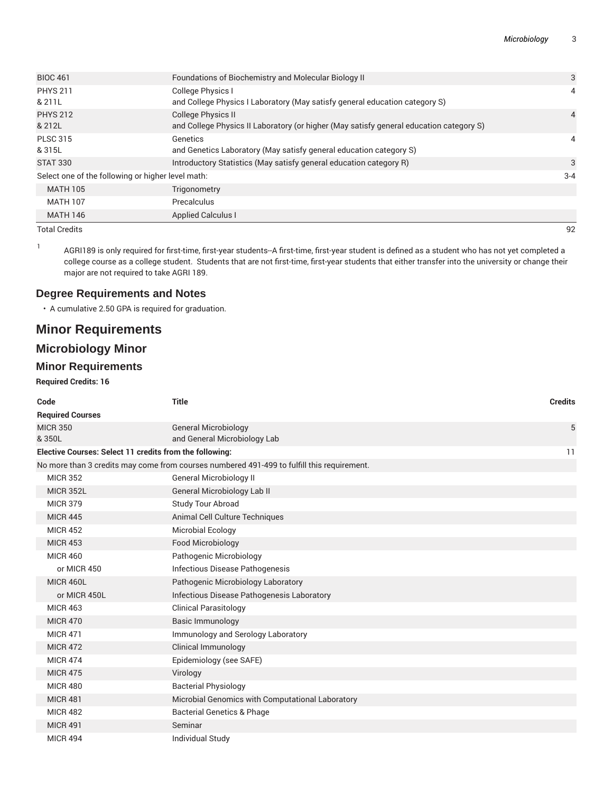| <b>BIOC 461</b>                                   | Foundations of Biochemistry and Molecular Biology II                                    | 3              |
|---------------------------------------------------|-----------------------------------------------------------------------------------------|----------------|
| <b>PHYS 211</b>                                   | College Physics I                                                                       | 4              |
| & 211L                                            | and College Physics I Laboratory (May satisfy general education category S)             |                |
| <b>PHYS 212</b>                                   | College Physics II                                                                      | $\overline{4}$ |
| & 212L                                            | and College Physics II Laboratory (or higher (May satisfy general education category S) |                |
| <b>PLSC 315</b>                                   | Genetics                                                                                | 4              |
| & 315L                                            | and Genetics Laboratory (May satisfy general education category S)                      |                |
| <b>STAT 330</b>                                   | Introductory Statistics (May satisfy general education category R)                      | 3              |
| Select one of the following or higher level math: |                                                                                         | $3 - 4$        |
| <b>MATH 105</b>                                   | Trigonometry                                                                            |                |
| <b>MATH 107</b>                                   | Precalculus                                                                             |                |
| <b>MATH 146</b>                                   | <b>Applied Calculus I</b>                                                               |                |

Total Credits 92

1 AGRI189 is only required for first-time, first-year students--A first-time, first-year student is defined as a student who has not yet completed a college course as a college student. Students that are not first-time, first-year students that either transfer into the university or change their major are not required to take AGRI 189.

#### **Degree Requirements and Notes**

• A cumulative 2.50 GPA is required for graduation.

## **Minor Requirements**

## **Microbiology Minor**

#### **Minor Requirements**

#### **Required Credits: 16**

| Code                                                    | <b>Title</b>                                                                               | <b>Credits</b> |
|---------------------------------------------------------|--------------------------------------------------------------------------------------------|----------------|
| <b>Required Courses</b>                                 |                                                                                            |                |
| <b>MICR 350</b>                                         | <b>General Microbiology</b>                                                                | 5              |
| &350L                                                   | and General Microbiology Lab                                                               |                |
| Elective Courses: Select 11 credits from the following: |                                                                                            | 11             |
|                                                         | No more than 3 credits may come from courses numbered 491-499 to fulfill this requirement. |                |
| <b>MICR 352</b>                                         | <b>General Microbiology II</b>                                                             |                |
| <b>MICR 352L</b>                                        | General Microbiology Lab II                                                                |                |
| <b>MICR 379</b>                                         | Study Tour Abroad                                                                          |                |
| <b>MICR 445</b>                                         | Animal Cell Culture Techniques                                                             |                |
| <b>MICR 452</b>                                         | Microbial Ecology                                                                          |                |
| <b>MICR 453</b>                                         | Food Microbiology                                                                          |                |
| <b>MICR 460</b>                                         | Pathogenic Microbiology                                                                    |                |
| or MICR 450                                             | Infectious Disease Pathogenesis                                                            |                |
| <b>MICR 460L</b>                                        | Pathogenic Microbiology Laboratory                                                         |                |
| or MICR 450L                                            | Infectious Disease Pathogenesis Laboratory                                                 |                |
| <b>MICR 463</b>                                         | <b>Clinical Parasitology</b>                                                               |                |
| <b>MICR 470</b>                                         | <b>Basic Immunology</b>                                                                    |                |
| <b>MICR 471</b>                                         | Immunology and Serology Laboratory                                                         |                |
| <b>MICR 472</b>                                         | <b>Clinical Immunology</b>                                                                 |                |
| <b>MICR 474</b>                                         | Epidemiology (see SAFE)                                                                    |                |
| <b>MICR 475</b>                                         | Virology                                                                                   |                |
| <b>MICR 480</b>                                         | <b>Bacterial Physiology</b>                                                                |                |
| <b>MICR 481</b>                                         | Microbial Genomics with Computational Laboratory                                           |                |
| <b>MICR 482</b>                                         | <b>Bacterial Genetics &amp; Phage</b>                                                      |                |
| <b>MICR 491</b>                                         | Seminar                                                                                    |                |
| <b>MICR 494</b>                                         | <b>Individual Study</b>                                                                    |                |